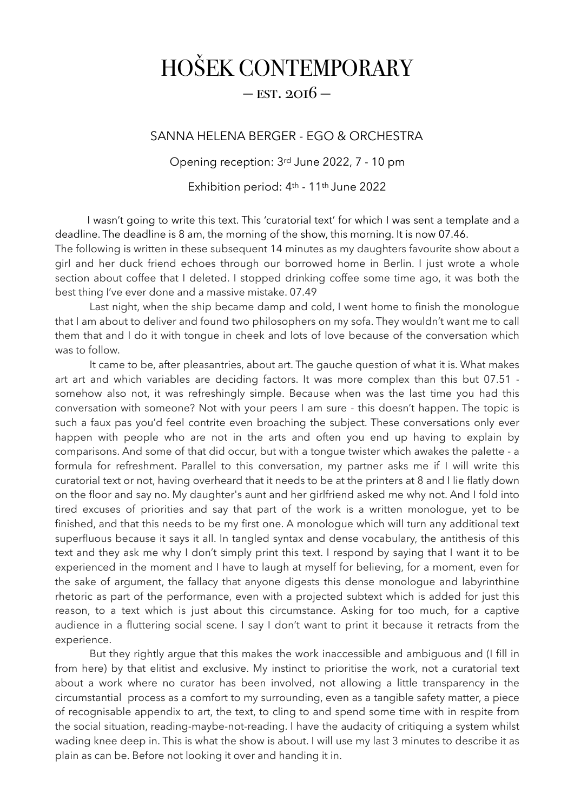## HOŠEK CONTEMPORARY

## $-$  EST. 2016  $-$

## SANNA HELENA BERGER - EGO & ORCHESTRA

Opening reception: 3rd June 2022, 7 - 10 pm

Exhibition period: 4th - 11th June 2022

 I wasn't going to write this text. This 'curatorial text' for which I was sent a template and a deadline. The deadline is 8 am, the morning of the show, this morning. It is now 07.46. The following is written in these subsequent 14 minutes as my daughters favourite show about a girl and her duck friend echoes through our borrowed home in Berlin. I just wrote a whole section about coffee that I deleted. I stopped drinking coffee some time ago, it was both the best thing I've ever done and a massive mistake. 07.49

 Last night, when the ship became damp and cold, I went home to finish the monologue that I am about to deliver and found two philosophers on my sofa. They wouldn't want me to call them that and I do it with tongue in cheek and lots of love because of the conversation which was to follow.

 It came to be, after pleasantries, about art. The gauche question of what it is. What makes art art and which variables are deciding factors. It was more complex than this but 07.51 somehow also not, it was refreshingly simple. Because when was the last time you had this conversation with someone? Not with your peers I am sure - this doesn't happen. The topic is such a faux pas you'd feel contrite even broaching the subject. These conversations only ever happen with people who are not in the arts and often you end up having to explain by comparisons. And some of that did occur, but with a tongue twister which awakes the palette - a formula for refreshment. Parallel to this conversation, my partner asks me if I will write this curatorial text or not, having overheard that it needs to be at the printers at 8 and I lie flatly down on the floor and say no. My daughter's aunt and her girlfriend asked me why not. And I fold into tired excuses of priorities and say that part of the work is a written monologue, yet to be finished, and that this needs to be my first one. A monologue which will turn any additional text superfluous because it says it all. In tangled syntax and dense vocabulary, the antithesis of this text and they ask me why I don't simply print this text. I respond by saying that I want it to be experienced in the moment and I have to laugh at myself for believing, for a moment, even for the sake of argument, the fallacy that anyone digests this dense monologue and labyrinthine rhetoric as part of the performance, even with a projected subtext which is added for just this reason, to a text which is just about this circumstance. Asking for too much, for a captive audience in a fluttering social scene. I say I don't want to print it because it retracts from the experience.

 But they rightly argue that this makes the work inaccessible and ambiguous and (I fill in from here) by that elitist and exclusive. My instinct to prioritise the work, not a curatorial text about a work where no curator has been involved, not allowing a little transparency in the circumstantial process as a comfort to my surrounding, even as a tangible safety matter, a piece of recognisable appendix to art, the text, to cling to and spend some time with in respite from the social situation, reading-maybe-not-reading. I have the audacity of critiquing a system whilst wading knee deep in. This is what the show is about. I will use my last 3 minutes to describe it as plain as can be. Before not looking it over and handing it in.